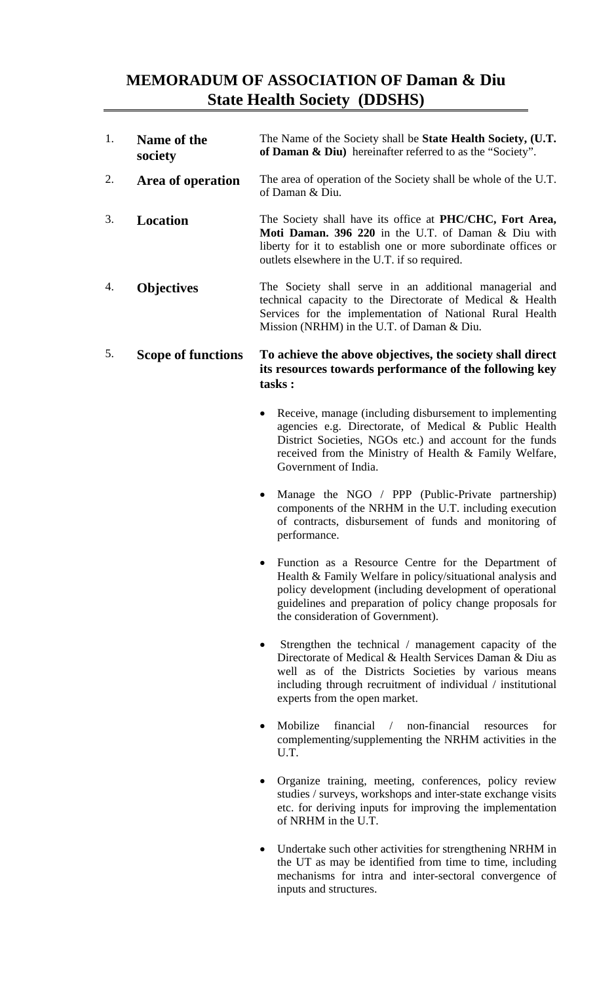## **MEMORADUM OF ASSOCIATION OF Daman & Diu State Health Society (DDSHS)**

| 1. | Name of the<br>society | The Name of the Society shall be <b>State Health Society</b> , (U.T.<br>of Daman $\&$ Diu) hereinafter referred to as the "Society".                                                                                               |
|----|------------------------|------------------------------------------------------------------------------------------------------------------------------------------------------------------------------------------------------------------------------------|
| 2. | Area of operation      | The area of operation of the Society shall be whole of the U.T.<br>of Daman & Diu.                                                                                                                                                 |
| 3. | Location               | The Society shall have its office at PHC/CHC, Fort Area,<br>Moti Daman. 396 220 in the U.T. of Daman & Diu with<br>liberty for it to establish one or more subordinate offices or<br>outlets elsewhere in the U.T. if so required. |
| 4. | <b>Objectives</b>      | The Society shall serve in an additional managerial and<br>technical capacity to the Directorate of Medical & Health<br>Services for the implementation of National Rural Health<br>Mission (NRHM) in the U.T. of Daman $& Diu$ .  |

## 5. **Scope of functions To achieve the above objectives, the society shall direct its resources towards performance of the following key tasks :**

- Receive, manage (including disbursement to implementing agencies e.g. Directorate, of Medical & Public Health District Societies, NGOs etc.) and account for the funds received from the Ministry of Health & Family Welfare, Government of India.
- Manage the NGO / PPP (Public-Private partnership) components of the NRHM in the U.T. including execution of contracts, disbursement of funds and monitoring of performance.
- Function as a Resource Centre for the Department of Health & Family Welfare in policy/situational analysis and policy development (including development of operational guidelines and preparation of policy change proposals for the consideration of Government).
- Strengthen the technical / management capacity of the Directorate of Medical & Health Services Daman & Diu as well as of the Districts Societies by various means including through recruitment of individual / institutional experts from the open market.
- Mobilize financial / non-financial resources for complementing/supplementing the NRHM activities in the U.T.
- Organize training, meeting, conferences, policy review studies / surveys, workshops and inter-state exchange visits etc. for deriving inputs for improving the implementation of NRHM in the U.T.
- Undertake such other activities for strengthening NRHM in the UT as may be identified from time to time, including mechanisms for intra and inter-sectoral convergence of inputs and structures.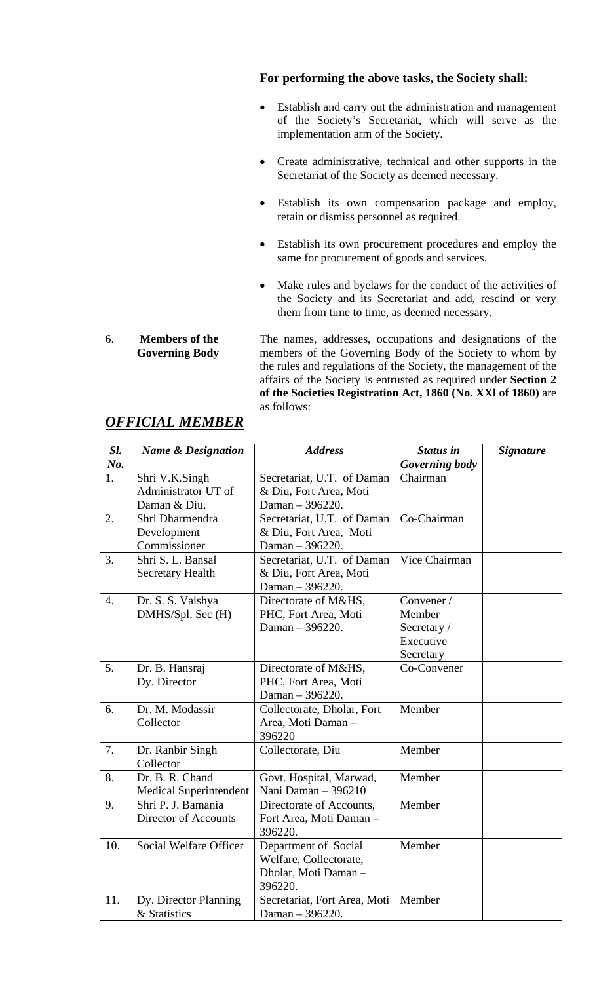## **For performing the above tasks, the Society shall:**

- Establish and carry out the administration and management of the Society's Secretariat, which will serve as the implementation arm of the Society.
- Create administrative, technical and other supports in the Secretariat of the Society as deemed necessary.
- Establish its own compensation package and employ, retain or dismiss personnel as required.
- Establish its own procurement procedures and employ the same for procurement of goods and services.
- Make rules and byelaws for the conduct of the activities of the Society and its Secretariat and add, rescind or very them from time to time, as deemed necessary.

The names, addresses, occupations and designations of the members of the Governing Body of the Society to whom by the rules and regulations of the Society, the management of the affairs of the Society is entrusted as required under **Section 2 of the Societies Registration Act, 1860 (No. XXl of 1860)** are as follows:

| Sl.              | <b>Name &amp; Designation</b> | <b>Address</b>               | <b>Status in</b>      | <b>Signature</b> |
|------------------|-------------------------------|------------------------------|-----------------------|------------------|
| No.              |                               |                              | <b>Governing body</b> |                  |
| 1.               | Shri V.K.Singh                | Secretariat, U.T. of Daman   | Chairman              |                  |
|                  | Administrator UT of           | & Diu, Fort Area, Moti       |                       |                  |
|                  | Daman & Diu.                  | Daman - 396220.              |                       |                  |
| 2.               | Shri Dharmendra               | Secretariat, U.T. of Daman   | Co-Chairman           |                  |
|                  | Development                   | & Diu, Fort Area, Moti       |                       |                  |
|                  | Commissioner                  | Daman - 396220.              |                       |                  |
| 3.               | Shri S. L. Bansal             | Secretariat, U.T. of Daman   | Vice Chairman         |                  |
|                  | Secretary Health              | & Diu, Fort Area, Moti       |                       |                  |
|                  |                               | Daman - 396220.              |                       |                  |
| $\overline{4}$ . | Dr. S. S. Vaishya             | Directorate of M&HS,         | Convener /            |                  |
|                  | DMHS/Spl. Sec (H)             | PHC, Fort Area, Moti         | Member                |                  |
|                  |                               | Daman - 396220.              | Secretary /           |                  |
|                  |                               |                              | Executive             |                  |
|                  |                               |                              | Secretary             |                  |
| 5.               | Dr. B. Hansraj                | Directorate of M&HS,         | Co-Convener           |                  |
|                  | Dy. Director                  | PHC, Fort Area, Moti         |                       |                  |
|                  |                               | Daman - 396220.              |                       |                  |
| 6.               | Dr. M. Modassir               | Collectorate, Dholar, Fort   | Member                |                  |
|                  | Collector                     | Area, Moti Daman -           |                       |                  |
|                  |                               | 396220                       |                       |                  |
| 7.               | Dr. Ranbir Singh              | Collectorate, Diu            | Member                |                  |
|                  | Collector                     |                              |                       |                  |
| 8.               | Dr. B. R. Chand               | Govt. Hospital, Marwad,      | Member                |                  |
|                  | <b>Medical Superintendent</b> | Nani Daman - 396210          |                       |                  |
| 9.               | Shri P. J. Bamania            | Directorate of Accounts,     | Member                |                  |
|                  | Director of Accounts          | Fort Area, Moti Daman -      |                       |                  |
|                  |                               | 396220.                      |                       |                  |
| 10.              | Social Welfare Officer        | Department of Social         | Member                |                  |
|                  |                               | Welfare, Collectorate,       |                       |                  |
|                  |                               | Dholar, Moti Daman-          |                       |                  |
|                  |                               | 396220.                      |                       |                  |
| 11.              | Dy. Director Planning         | Secretariat, Fort Area, Moti | Member                |                  |
|                  | & Statistics                  | Daman - 396220.              |                       |                  |

## *OFFICIAL MEMBER*

**Governing Body** 

6. **Members of the**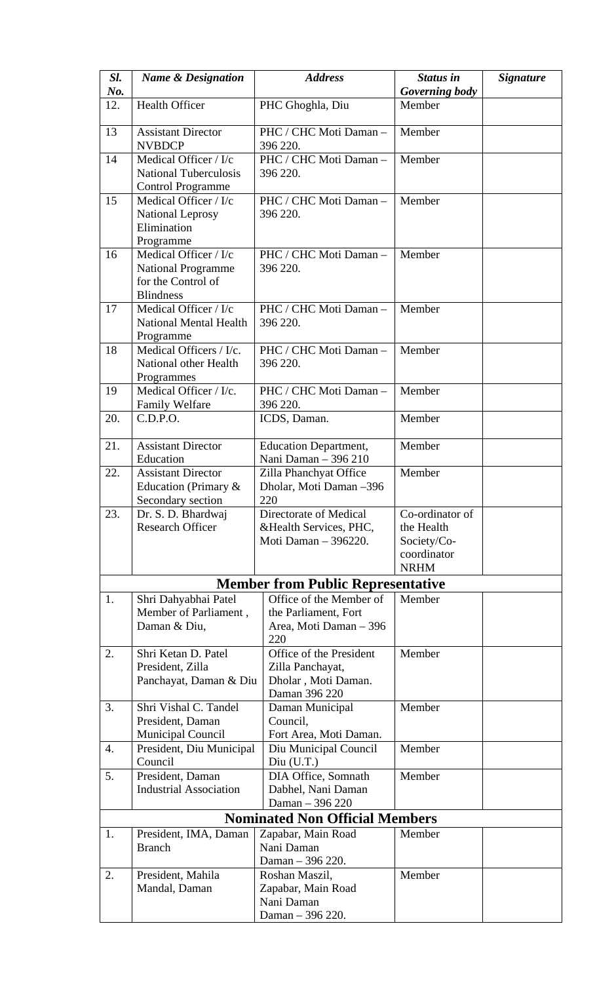| Sl.                                   | <b>Name &amp; Designation</b>                          | <b>Address</b>                                       | <b>Status in</b> | <b>Signature</b> |
|---------------------------------------|--------------------------------------------------------|------------------------------------------------------|------------------|------------------|
| No.                                   |                                                        |                                                      | Governing body   |                  |
| 12.                                   | <b>Health Officer</b>                                  | PHC Ghoghla, Diu                                     | Member           |                  |
| 13                                    | <b>Assistant Director</b><br><b>NVBDCP</b>             | PHC / CHC Moti Daman -<br>396 220.                   | Member           |                  |
| 14                                    | Medical Officer / I/c                                  | PHC / CHC Moti Daman -                               | Member           |                  |
|                                       | <b>National Tuberculosis</b>                           | 396 220.                                             |                  |                  |
|                                       | <b>Control Programme</b>                               |                                                      |                  |                  |
| 15                                    | Medical Officer / I/c                                  | PHC / CHC Moti Daman-                                | Member           |                  |
|                                       | <b>National Leprosy</b><br>Elimination                 | 396 220.                                             |                  |                  |
|                                       | Programme                                              |                                                      |                  |                  |
| 16                                    | Medical Officer / I/c                                  | PHC / CHC Moti Daman -                               | Member           |                  |
|                                       | <b>National Programme</b>                              | 396 220.                                             |                  |                  |
|                                       | for the Control of                                     |                                                      |                  |                  |
|                                       | <b>Blindness</b>                                       |                                                      |                  |                  |
| 17                                    | Medical Officer / I/c<br><b>National Mental Health</b> | PHC / CHC Moti Daman -<br>396 220.                   | Member           |                  |
|                                       | Programme                                              |                                                      |                  |                  |
| 18                                    | Medical Officers / I/c.                                | PHC / CHC Moti Daman -                               | Member           |                  |
|                                       | National other Health                                  | 396 220.                                             |                  |                  |
|                                       | Programmes                                             |                                                      |                  |                  |
| 19                                    | Medical Officer / I/c.                                 | PHC / CHC Moti Daman -                               | Member           |                  |
| 20.                                   | Family Welfare<br>C.D.P.O.                             | 396 220.<br>ICDS, Daman.                             | Member           |                  |
|                                       |                                                        |                                                      |                  |                  |
| 21.                                   | <b>Assistant Director</b><br>Education                 | <b>Education Department,</b><br>Nani Daman - 396 210 | Member           |                  |
| 22.                                   | <b>Assistant Director</b>                              | Zilla Phanchyat Office                               | Member           |                  |
|                                       | Education (Primary &                                   | Dholar, Moti Daman -396                              |                  |                  |
|                                       | Secondary section                                      | 220                                                  | Co-ordinator of  |                  |
| 23.                                   | Dr. S. D. Bhardwaj<br><b>Research Officer</b>          | Directorate of Medical<br>& Health Services, PHC,    | the Health       |                  |
|                                       |                                                        | Moti Daman - 396220.                                 | Society/Co-      |                  |
|                                       |                                                        |                                                      | coordinator      |                  |
|                                       |                                                        |                                                      | <b>NRHM</b>      |                  |
|                                       |                                                        | <b>Member from Public Representative</b>             |                  |                  |
| 1.                                    | Shri Dahyabhai Patel                                   | Office of the Member of                              | Member           |                  |
|                                       | Member of Parliament,<br>Daman & Diu,                  | the Parliament, Fort<br>Area, Moti Daman - 396       |                  |                  |
|                                       |                                                        | 220                                                  |                  |                  |
| 2.                                    | Shri Ketan D. Patel                                    | Office of the President                              | Member           |                  |
|                                       | President, Zilla                                       | Zilla Panchayat,                                     |                  |                  |
|                                       | Panchayat, Daman & Diu                                 | Dholar, Moti Daman.                                  |                  |                  |
| 3.                                    | Shri Vishal C. Tandel                                  | Daman 396 220                                        | Member           |                  |
|                                       | President, Daman                                       | Daman Municipal<br>Council,                          |                  |                  |
|                                       | Municipal Council                                      | Fort Area, Moti Daman.                               |                  |                  |
| 4.                                    | President, Diu Municipal                               | Diu Municipal Council                                | Member           |                  |
|                                       | Council                                                | Div(U.T.)                                            |                  |                  |
| 5.                                    | President, Daman                                       | DIA Office, Somnath                                  | Member           |                  |
|                                       | <b>Industrial Association</b>                          | Dabhel, Nani Daman<br>Daman - 396 220                |                  |                  |
| <b>Nominated Non Official Members</b> |                                                        |                                                      |                  |                  |
| 1.                                    | President, IMA, Daman                                  | Zapabar, Main Road                                   | Member           |                  |
|                                       | <b>Branch</b>                                          | Nani Daman                                           |                  |                  |
|                                       |                                                        | Daman - 396 220.                                     |                  |                  |
| 2.                                    | President, Mahila                                      | Roshan Maszil,                                       | Member           |                  |
|                                       | Mandal, Daman                                          | Zapabar, Main Road<br>Nani Daman                     |                  |                  |
|                                       |                                                        | Daman - 396 220.                                     |                  |                  |